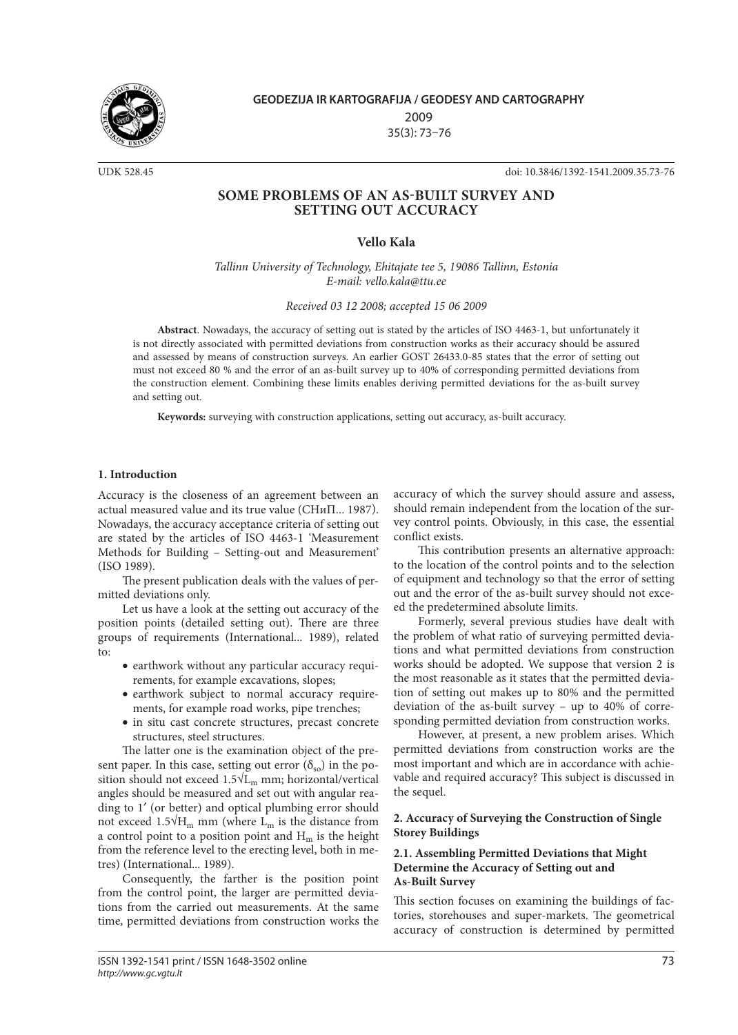

**GEODEZIJA IR KARTOGRAFIJA / GEODESY AND CARTOGRAPHY** 2009 35(3): 73–76

UDK 528.45 doi: 10.3846/1392-1541.2009.35.73-76

# **SOME PROBLEMS OF AN AS-BUILT SURVEY AND SETTING OUT ACCURACY**

# **Vello Kala**

*Tallinn University of Technology, Ehitajate tee 5, 19086 Tallinn, Estonia E-mail: [vello.kala@ttu.ee](mailto:vello.kala@ttu.ee)*

*Received 03 12 2008; accepted 15 06 2009*

**Abstract**. Nowadays, the accuracy of setting out is stated by the articles of ISO 4463-1, but unfortunately it is not directly associated with permitted deviations from construction works as their accuracy should be assured and assessed by means of construction surveys. An earlier GOST 26433.0-85 states that the error of setting out must not exceed 80 % and the error of an as-built survey up to 40% of corresponding permitted deviations from the construction element. Combining these limits enables deriving permitted deviations for the as-built survey and setting out.

**Keywords:** surveying with construction applications, setting out accuracy, as-built accuracy.

#### **1. Introduction**

Accuracy is the closeness of an agreement between an actual measured value and its true value (СНиП... 1987). Nowadays, the accuracy acceptance criteria of setting out are stated by the articles of ISO 4463-1 'Measurement Methods for Building – Setting-out and Measurement' (ISO 1989).

The present publication deals with the values of permitted deviations only.

Let us have a look at the setting out accuracy of the position points (detailed setting out). There are three groups of requirements (International... 1989), related to:

- earthwork without any particular accuracy requirements, for example excavations, slopes;
- earthwork subject to normal accuracy requirements, for example road works, pipe trenches;
- in situ cast concrete structures, precast concrete structures, steel structures.

The latter one is the examination object of the present paper. In this case, setting out error  $(\delta_{so})$  in the position should not exceed  $1.5\sqrt{L_m}$  mm; horizontal/vertical angles should be measured and set out with angular reading to 1′ (or better) and optical plumbing error should not exceed 1.5√ $H_m$  mm (where L<sub>m</sub> is the distance from a control point to a position point and  $H_m$  is the height from the reference level to the erecting level, both in metres) (International... 1989).

Consequently, the farther is the position point from the control point, the larger are permitted deviations from the carried out measurements. At the same time, permitted deviations from construction works the

accuracy of which the survey should assure and assess, should remain independent from the location of the survey control points. Obviously, in this case, the essential conflict exists.

This contribution presents an alternative approach: to the location of the control points and to the selection of equipment and technology so that the error of setting out and the error of the as-built survey should not exceed the predetermined absolute limits.

Formerly, several previous studies have dealt with the problem of what ratio of surveying permitted deviations and what permitted deviations from construction works should be adopted. We suppose that version 2 is the most reasonable as it states that the permitted deviation of setting out makes up to 80% and the permitted deviation of the as-built survey – up to 40% of corresponding permitted deviation from construction works.

However, at present, a new problem arises. Which permitted deviations from construction works are the most important and which are in accordance with achievable and required accuracy? This subject is discussed in the sequel.

# **2. Accuracy of Surveying the Construction of Single Storey Buildings**

# **2.1. Assembling Permitted Deviations that Might Determine the Accuracy of Setting out and As-Built Survey**

This section focuses on examining the buildings of factories, storehouses and super-markets. The geometrical accuracy of construction is determined by permitted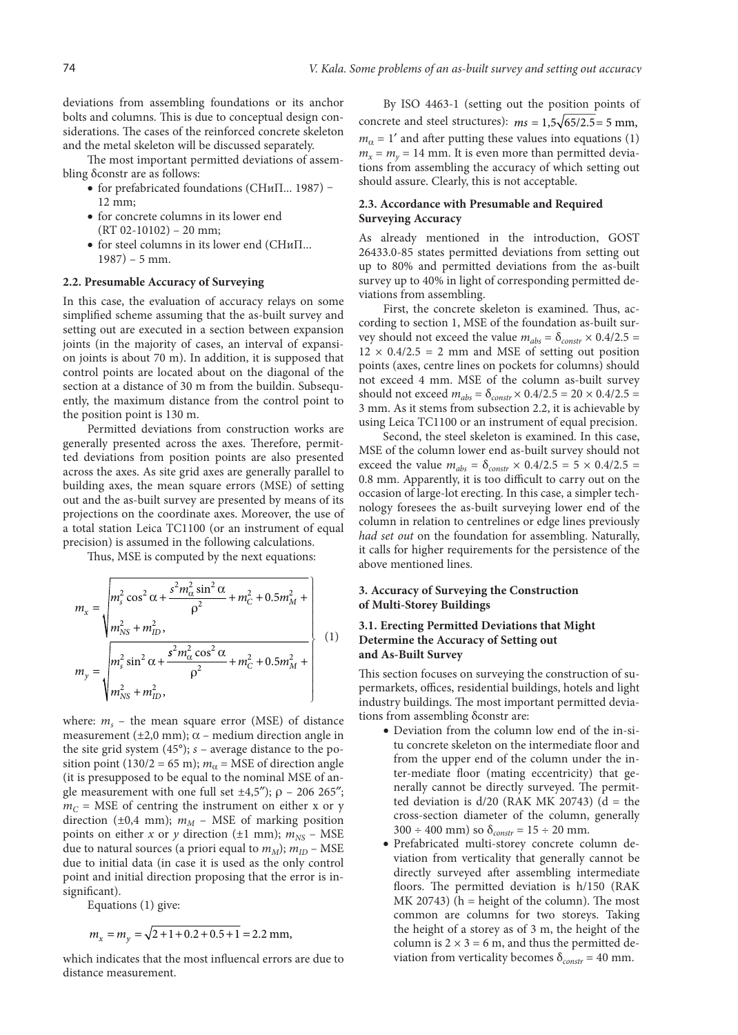deviations from assembling foundations or its anchor bolts and columns. This is due to conceptual design considerations. The cases of the reinforced concrete skeleton and the metal skeleton will be discussed separately.

The most important permitted deviations of assembling δconstr are as follows:

- for prefabricated foundations (СНиП... 1987) -12 mm;
- for concrete columns in its lower end  $(RT 02-10102) - 20$  mm;
- for steel columns in its lower end (СНиП... 1987) – 5 mm.

#### **2.2. Presumable Accuracy of Surveying**

In this case, the evaluation of accuracy relays on some simplified scheme assuming that the as-built survey and setting out are executed in a section between expansion joints (in the majority of cases, an interval of expansion joints is about 70 m). In addition, it is supposed that control points are located about on the diagonal of the section at a distance of 30 m from the buildin. Subsequently, the maximum distance from the control point to the position point is 130 m.

Permitted deviations from construction works are generally presented across the axes. Therefore, permitted deviations from position points are also presented across the axes. As site grid axes are generally parallel to building axes, the mean square errors (MSE) of setting out and the as-built survey are presented by means of its projections on the coordinate axes. Moreover, the use of a total station Leica TC1100 (or an instrument of equal precision) is assumed in the following calculations.

Thus, MSE is computed by the next equations:

$$
m_x = \sqrt{m_s^2 \cos^2 \alpha + \frac{s^2 m_\alpha^2 \sin^2 \alpha}{\rho^2} + m_C^2 + 0.5 m_M^2 + \frac{m_{NS}^2 + m_D^2}{\rho^2}},
$$
  
\n
$$
m_y = \sqrt{m_s^2 \sin^2 \alpha + \frac{s^2 m_\alpha^2 \cos^2 \alpha}{\rho^2} + m_C^2 + 0.5 m_M^2 + \frac{m_{NS}^2 + m_D^2}{\rho^2}},
$$
\n(1)

where:  $m_s$  – the mean square error (MSE) of distance measurement ( $\pm 2.0$  mm);  $\alpha$  – medium direction angle in the site grid system (45°); *s* – average distance to the position point (130/2 = 65 m);  $m_\alpha$  = MSE of direction angle (it is presupposed to be equal to the nominal MSE of angle measurement with one full set  $\pm 4.5$ ");  $\rho$  – 206 265";  $m<sub>C</sub>$  = MSE of centring the instrument on either x or y direction ( $\pm 0.4$  mm);  $m_M$  – MSE of marking position points on either *x* or *y* direction ( $\pm 1$  mm);  $m_{NS}$  – MSE due to natural sources (a priori equal to  $m_M$ );  $m_{ID}$  – MSE due to initial data (in case it is used as the only control point and initial direction proposing that the error is insignificant).

Equations (1) give:

$$
m_x = m_y = \sqrt{2 + 1 + 0.2 + 0.5 + 1} = 2.2
$$
 mm,

which indicates that the most influencal errors are due to distance measurement.

By ISO 4463-1 (setting out the position points of concrete and steel structures):  $ms = 1.5\sqrt{65/2.5} = 5$  mm,  $m_{\alpha} = 1'$  and after putting these values into equations (1)  $m_x = m_y = 14$  mm. It is even more than permitted deviations from assembling the accuracy of which setting out should assure. Clearly, this is not acceptable.

# **2.3. Accordance with Presumable and Required Surveying Accuracy**

As already mentioned in the introduction, GOST 26433.0-85 states permitted deviations from setting out up to 80% and permitted deviations from the as-built survey up to 40% in light of corresponding permitted deviations from assembling.

First, the concrete skeleton is examined. Thus, according to section 1, MSE of the foundation as-built survey should not exceed the value  $m_{abs} = \delta_{constr} \times 0.4/2.5$  =  $12 \times 0.4/2.5 = 2$  mm and MSE of setting out position points (axes, centre lines on pockets for columns) should not exceed 4 mm. MSE of the column as-built survey should not exceed  $m_{abs} = \delta_{constr} \times 0.4/2.5 = 20 \times 0.4/2.5 =$ 3 mm. As it stems from subsection 2.2, it is achievable by using Leica TC1100 or an instrument of equal precision.

Second, the steel skeleton is examined. In this case, MSE of the column lower end as-built survey should not exceed the value  $m_{abs} = \delta_{constr} \times 0.4/2.5 = 5 \times 0.4/2.5 =$ 0.8 mm. Apparently, it is too difficult to carry out on the occasion of large-lot erecting. In this case, a simpler technology foresees the as-built surveying lower end of the column in relation to centrelines or edge lines previously *had set out* on the foundation for assembling. Naturally, it calls for higher requirements for the persistence of the above mentioned lines.

#### **3. Accuracy of Surveying the Construction of Multi-Storey Buildings**

## **3.1. Erecting Permitted Deviations that Might Determine the Accuracy of Setting out and As-Built Survey**

This section focuses on surveying the construction of supermarkets, offices, residential buildings, hotels and light industry buildings. The most important permitted deviations from assembling δconstr are:

- Deviation from the column low end of the in-situ concrete skeleton on the intermediate floor and from the upper end of the column under the inter-mediate floor (mating eccentricity) that generally cannot be directly surveyed. The permitted deviation is  $d/20$  (RAK MK 20743) (d = the cross-section diameter of the column, generally  $300 \div 400$  mm) so  $\delta_{constr} = 15 \div 20$  mm.
- Prefabricated multi-storey concrete column deviation from verticality that generally cannot be directly surveyed after assembling intermediate floors. The permitted deviation is h/150 (RAK  $MK 20743$ ) (h = height of the column). The most common are columns for two storeys. Taking the height of a storey as of 3 m, the height of the column is  $2 \times 3 = 6$  m, and thus the permitted deviation from verticality becomes  $\delta_{constr} = 40$  mm.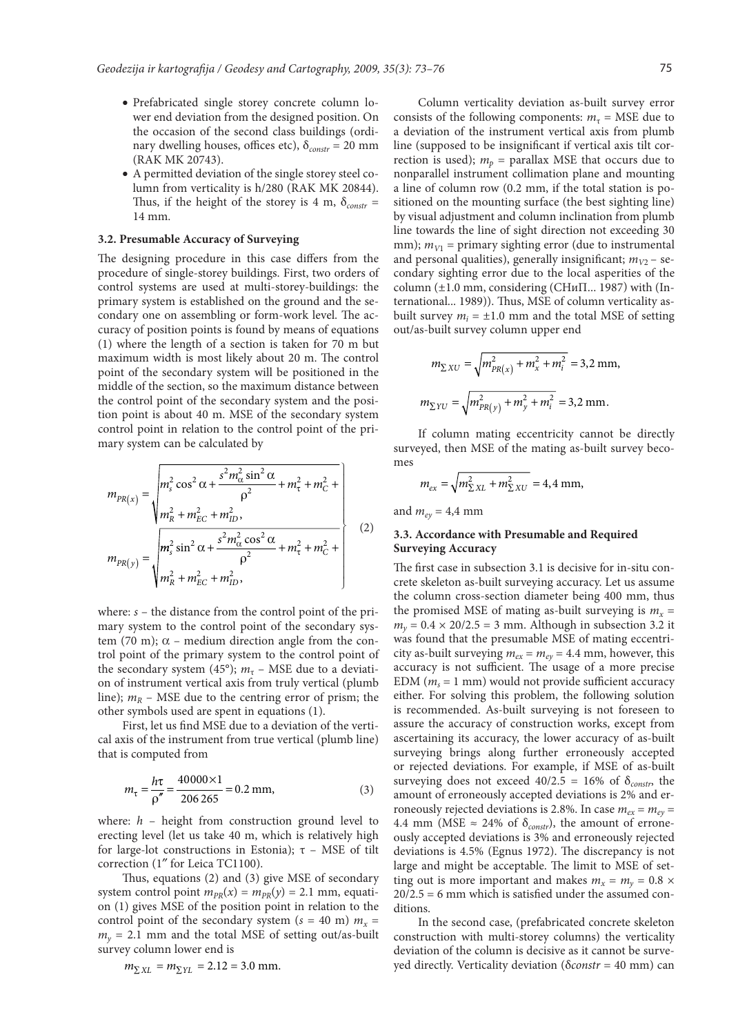- Prefabricated single storey concrete column lower end deviation from the designed position. On the occasion of the second class buildings (ordinary dwelling houses, offices etc), δ*constr* = 20 mm (RAK MK 20743).
- A permitted deviation of the single storey steel column from verticality is h/280 (RAK MK 20844). Thus, if the height of the storey is 4 m,  $\delta_{constr}$  = 14 mm.

#### **3.2. Presumable Accuracy of Surveying**

The designing procedure in this case differs from the procedure of single-storey buildings. First, two orders of control systems are used at multi-storey-buildings: the primary system is established on the ground and the secondary one on assembling or form-work level. The accuracy of position points is found by means of equations (1) where the length of a section is taken for 70 m but maximum width is most likely about 20 m. The control point of the secondary system will be positioned in the middle of the section, so the maximum distance between the control point of the secondary system and the position point is about 40 m. MSE of the secondary system control point in relation to the control point of the primary system can be calculated by

$$
m_{PR(x)} = \sqrt{\frac{m_s^2 \cos^2 \alpha + \frac{s^2 m_\alpha^2 \sin^2 \alpha}{\rho^2} + m_\tau^2 + m_C^2 + \frac{m_R^2}{\rho^2} + m_R^2 \cos^2 \alpha + m_C^2 + \frac{m_R^2 \sin^2 \alpha + \frac{s^2 m_\alpha^2 \cos^2 \alpha}{\rho^2} + m_\tau^2 + m_C^2 + \frac{m_R^2 \sin^2 \alpha + \frac{s^2 m_\alpha^2 \cos^2 \alpha}{\rho^2} + m_\tau^2 + m_C^2 + \frac{m_R^2}{\rho^2} + m_C^2 + m_D^2}} \qquad (2)
$$

where: *s* – the distance from the control point of the primary system to the control point of the secondary system (70 m);  $\alpha$  – medium direction angle from the control point of the primary system to the control point of the secondary system (45°);  $m_{\tau}$  – MSE due to a deviation of instrument vertical axis from truly vertical (plumb line);  $m_R$  – MSE due to the centring error of prism; the other symbols used are spent in equations (1).

First, let us find MSE due to a deviation of the vertical axis of the instrument from true vertical (plumb line) that is computed from

$$
m_{\tau} = \frac{h\tau}{\rho''} = \frac{40000 \times 1}{206 \, 265} = 0.2 \, \text{mm},\tag{3}
$$

where: *h* – height from construction ground level to erecting level (let us take 40 m, which is relatively high for large-lot constructions in Estonia); τ – MSE of tilt correction (1″ for Leica TC1100).

Thus, equations (2) and (3) give MSE of secondary system control point  $m_{PR}(x) = m_{PR}(y) = 2.1$  mm, equation (1) gives MSE of the position point in relation to the control point of the secondary system ( $s = 40$  m)  $m<sub>x</sub> =$  $m_v$  = 2.1 mm and the total MSE of setting out/as-built survey column lower end is

$$
m_{\Sigma XL} = m_{\Sigma YL} = 2.12 = 3.0
$$
 mm.

Column verticality deviation as-built survey error consists of the following components:  $m_\tau$  = MSE due to a deviation of the instrument vertical axis from plumb line (supposed to be insignificant if vertical axis tilt correction is used);  $m_p$  = parallax MSE that occurs due to nonparallel instrument collimation plane and mounting a line of column row (0.2 mm, if the total station is positioned on the mounting surface (the best sighting line) by visual adjustment and column inclination from plumb line towards the line of sight direction not exceeding 30 mm);  $m_{V1}$  = primary sighting error (due to instrumental and personal qualities), generally insignificant;  $m_{V2}$  – secondary sighting error due to the local asperities of the column  $(\pm 1.0 \text{ mm}, \text{considering } (CHu\Pi... 1987)$  with  $(\text{In-}$ ternational... 1989)). Thus, MSE of column verticality asbuilt survey  $m_i = \pm 1.0$  mm and the total MSE of setting out/as-built survey column upper end

$$
m_{\Sigma XU} = \sqrt{m_{PR(x)}^2 + m_x^2 + m_i^2} = 3,2 \text{ mm},
$$
  

$$
m_{\Sigma YU} = \sqrt{m_{PR(y)}^2 + m_y^2 + m_i^2} = 3,2 \text{ mm}.
$$

If column mating eccentricity cannot be directly surveyed, then MSE of the mating as-built survey becomes

$$
m_{ex} = \sqrt{m_{\Sigma X L}^2 + m_{\Sigma X U}^2} = 4,4 \text{ mm},
$$

and  $m_{ev} = 4.4$  mm

## **3.3. Accordance with Presumable and Required Surveying Accuracy**

The first case in subsection 3.1 is decisive for in-situ concrete skeleton as-built surveying accuracy. Let us assume the column cross-section diameter being 400 mm, thus the promised MSE of mating as-built surveying is  $m<sub>x</sub>$  =  $m_v = 0.4 \times 20/2.5 = 3$  mm. Although in subsection 3.2 it was found that the presumable MSE of mating eccentricity as-built surveying  $m_{ex} = m_{ey} = 4.4$  mm, however, this accuracy is not sufficient. The usage of a more precise EDM ( $m_s$  = 1 mm) would not provide sufficient accuracy either. For solving this problem, the following solution is recommended. As-built surveying is not foreseen to assure the accuracy of construction works, except from ascertaining its accuracy, the lower accuracy of as-built surveying brings along further erroneously accepted or rejected deviations. For example, if MSE of as-built surveying does not exceed  $40/2.5 = 16\%$  of  $\delta_{constr}$ , the amount of erroneously accepted deviations is 2% and erroneously rejected deviations is 2.8%. In case  $m_{ex} = m_{ey} =$ 4.4 mm (MSE  $\approx$  24% of  $\delta_{constr}$ ), the amount of erroneously accepted deviations is 3% and erroneously rejected deviations is 4.5% (Egnus 1972). The discrepancy is not large and might be acceptable. The limit to MSE of setting out is more important and makes  $m_x = m_y = 0.8 \times$  $20/2.5 = 6$  mm which is satisfied under the assumed conditions.

In the second case, (prefabricated concrete skeleton construction with multi-storey columns) the verticality deviation of the column is decisive as it cannot be surveyed directly. Verticality deviation (δ*constr* = 40 mm) can